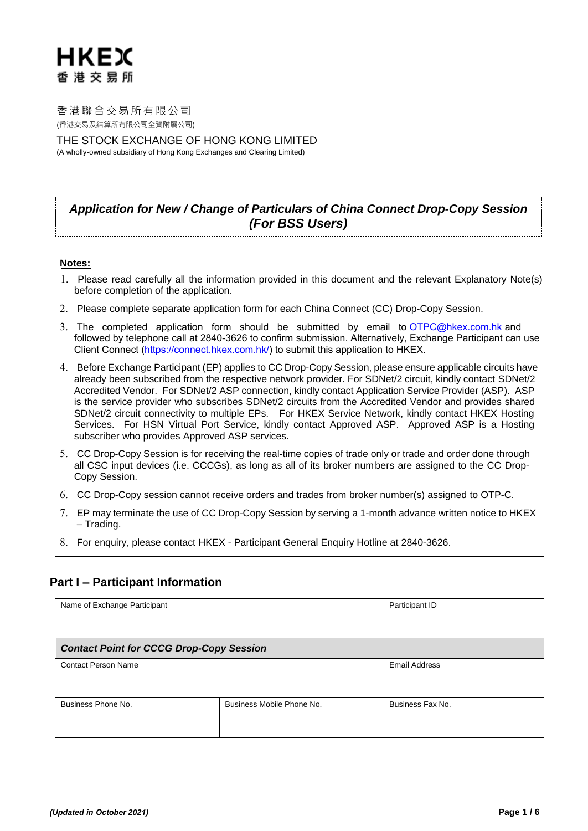# HKEX 香 港 交 易 所

香港聯合交易所有限公司 (香港交易及結算所有限公司全資附屬公司)

THE STOCK EXCHANGE OF HONG KONG LIMITED (A wholly-owned subsidiary of Hong Kong Exchanges and Clearing Limited)

# *Application for New / Change of Particulars of China Connect Drop-Copy Session (For BSS Users)*

### **Notes:**

- 1. Please read carefully all the information provided in this document and the relevant Explanatory Note(s) before completion of the application.
- 2. Please complete separate application form for each China Connect (CC) Drop-Copy Session.
- 3. The completed application form should be submitted by email to [OTPC@hkex.com.hk](mailto:OTPC@hkex.com.hk) and followed by telephone call at 2840-3626 to confirm submission. Alternatively, Exchange Participant can use Client Connect ([https://connect.hkex.com.hk/\)](https://connect.hkex.com.hk/) to submit this application to HKEX.
- 4. Before Exchange Participant (EP) applies to CC Drop-Copy Session, please ensure applicable circuits have already been subscribed from the respective network provider. For SDNet/2 circuit, kindly contact [SDNet/2](http://www.hkex.com.hk/Services/Connectivity/SDNet-2/Securities-Trading-(AMS3-Shanghai-and-Shenzhen-Connect)?sc_lang=en) Accredited Vendor. For SDNet/2 ASP connection, kindly contact Application Service Provider (ASP). ASP is the service provider who subscribes SDNet/2 circuits from the Accredited Vendor and provides shared SDNet/2 circuit connectivity to multiple EPs. For HKEX Service Network, kindly contact HKEX Hosting Services. For HSN Virtual Port Service, kindly contact Approved ASP. Approved ASP is a Hosting subscriber who provides Approved ASP services.
- 5. CC Drop-Copy Session is for receiving the real-time copies of trade only or trade and order done through all CSC input devices (i.e. CCCGs), as long as all of its broker numbers are assigned to the CC Drop-Copy Session.
- 6. CC Drop-Copy session cannot receive orders and trades from broker number(s) assigned to OTP-C.
- 7. EP may terminate the use of CC Drop-Copy Session by serving a 1-month advance written notice to HKEX – Trading.
- 8. For enquiry, please contact HKEX Participant General Enquiry Hotline at 2840-3626.

# **Part I – Participant Information**

| Name of Exchange Participant                    | Participant ID            |                      |
|-------------------------------------------------|---------------------------|----------------------|
| <b>Contact Point for CCCG Drop-Copy Session</b> |                           |                      |
| <b>Contact Person Name</b>                      |                           | <b>Email Address</b> |
| Business Phone No.                              | Business Mobile Phone No. | Business Fax No.     |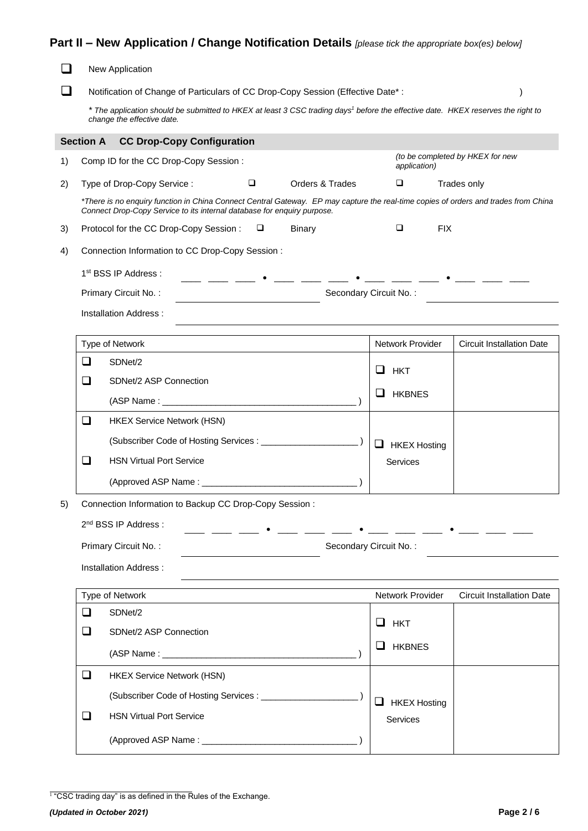# **Part II – New Application / Change Notification Details** *[please tick the appropriate box(es) below]*

| New Application |
|-----------------|
|-----------------|

□ Notification of Change of Particulars of CC Drop-Copy Session (Effective Date\* : )

*\* The application should be submitted to HKEX at least 3 CSC trading days<sup>1</sup> before the effective date. HKEX reserves the right to change the effective date.*

| (to be completed by HKEX for new<br>Comp ID for the CC Drop-Copy Session :<br>1)<br>application)<br>$\Box$<br>Orders & Trades<br>Type of Drop-Copy Service:<br>□<br>Trades only<br>2)<br>*There is no enquiry function in China Connect Central Gateway. EP may capture the real-time copies of orders and trades from China<br>Connect Drop-Copy Service to its internal database for enquiry purpose.<br><b>FIX</b><br>$\Box$<br>$\Box$<br>Protocol for the CC Drop-Copy Session:<br>Binary<br>3)<br>Connection Information to CC Drop-Copy Session :<br>4)<br>1 <sup>st</sup> BSS IP Address : |                                  |
|---------------------------------------------------------------------------------------------------------------------------------------------------------------------------------------------------------------------------------------------------------------------------------------------------------------------------------------------------------------------------------------------------------------------------------------------------------------------------------------------------------------------------------------------------------------------------------------------------|----------------------------------|
|                                                                                                                                                                                                                                                                                                                                                                                                                                                                                                                                                                                                   |                                  |
|                                                                                                                                                                                                                                                                                                                                                                                                                                                                                                                                                                                                   |                                  |
|                                                                                                                                                                                                                                                                                                                                                                                                                                                                                                                                                                                                   |                                  |
|                                                                                                                                                                                                                                                                                                                                                                                                                                                                                                                                                                                                   |                                  |
|                                                                                                                                                                                                                                                                                                                                                                                                                                                                                                                                                                                                   |                                  |
| <u> The Common School (1989)</u>                                                                                                                                                                                                                                                                                                                                                                                                                                                                                                                                                                  |                                  |
| Secondary Circuit No.:<br>Primary Circuit No.:                                                                                                                                                                                                                                                                                                                                                                                                                                                                                                                                                    |                                  |
| Installation Address:                                                                                                                                                                                                                                                                                                                                                                                                                                                                                                                                                                             |                                  |
| Network Provider<br>Type of Network                                                                                                                                                                                                                                                                                                                                                                                                                                                                                                                                                               | <b>Circuit Installation Date</b> |
| ❏<br>SDNet/2                                                                                                                                                                                                                                                                                                                                                                                                                                                                                                                                                                                      |                                  |
| ❏<br><b>HKT</b><br>◻<br>SDNet/2 ASP Connection                                                                                                                                                                                                                                                                                                                                                                                                                                                                                                                                                    |                                  |
| $\Box$ HKBNES                                                                                                                                                                                                                                                                                                                                                                                                                                                                                                                                                                                     |                                  |
| $\Box$<br><b>HKEX Service Network (HSN)</b>                                                                                                                                                                                                                                                                                                                                                                                                                                                                                                                                                       |                                  |
| $\Box$ HKEX Hosting                                                                                                                                                                                                                                                                                                                                                                                                                                                                                                                                                                               |                                  |
| ❏<br><b>HSN Virtual Port Service</b><br>Services                                                                                                                                                                                                                                                                                                                                                                                                                                                                                                                                                  |                                  |
| (Approved ASP Name: 1990)                                                                                                                                                                                                                                                                                                                                                                                                                                                                                                                                                                         |                                  |
| Connection Information to Backup CC Drop-Copy Session :<br>5)                                                                                                                                                                                                                                                                                                                                                                                                                                                                                                                                     |                                  |
| 2 <sup>nd</sup> BSS IP Address :                                                                                                                                                                                                                                                                                                                                                                                                                                                                                                                                                                  |                                  |
| Primary Circuit No.:<br>Secondary Circuit No.:                                                                                                                                                                                                                                                                                                                                                                                                                                                                                                                                                    |                                  |
| Installation Address:                                                                                                                                                                                                                                                                                                                                                                                                                                                                                                                                                                             |                                  |
| Network Provider<br><b>Type of Network</b>                                                                                                                                                                                                                                                                                                                                                                                                                                                                                                                                                        | <b>Circuit Installation Date</b> |
| ❏<br>SDNet/2<br>$\Box$ HKT                                                                                                                                                                                                                                                                                                                                                                                                                                                                                                                                                                        |                                  |
| ❏<br>SDNet/2 ASP Connection                                                                                                                                                                                                                                                                                                                                                                                                                                                                                                                                                                       |                                  |
| U HKBNES                                                                                                                                                                                                                                                                                                                                                                                                                                                                                                                                                                                          |                                  |
| $\Box$<br><b>HKEX Service Network (HSN)</b>                                                                                                                                                                                                                                                                                                                                                                                                                                                                                                                                                       |                                  |
| <b>HKEX Hosting</b><br>⊔                                                                                                                                                                                                                                                                                                                                                                                                                                                                                                                                                                          |                                  |
| <b>HSN Virtual Port Service</b><br>❏<br>Services                                                                                                                                                                                                                                                                                                                                                                                                                                                                                                                                                  |                                  |
|                                                                                                                                                                                                                                                                                                                                                                                                                                                                                                                                                                                                   |                                  |

 $1$  "CSC trading day" is as defined in the Rules of the Exchange.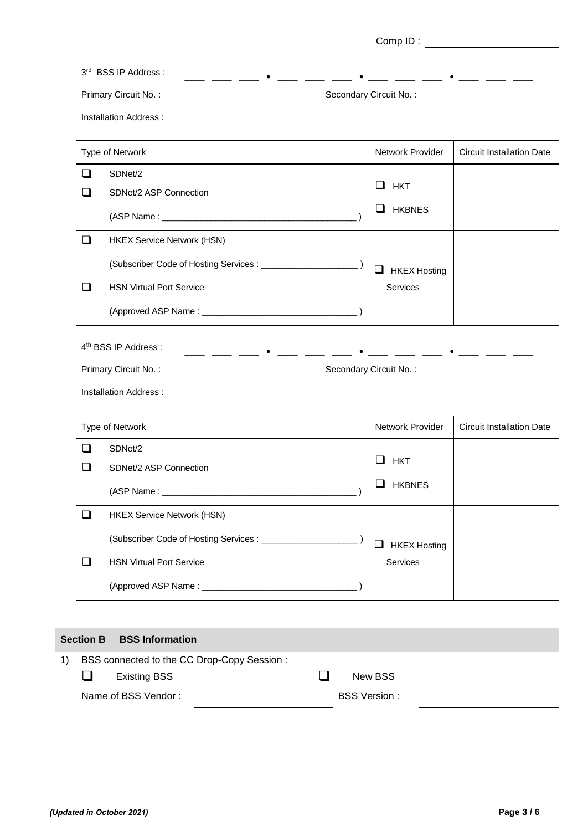Comp ID : 3 rd BSS IP Address : \_\_\_\_ \_\_\_\_ \_\_\_\_ \_\_\_\_ \_\_\_\_ \_\_\_\_ \_\_\_\_ \_\_\_\_ \_\_\_\_ \_\_\_\_ \_\_\_\_ \_\_\_\_ Primary Circuit No. : Secondary Circuit No. : Installation Address : Type of Network Network Network Provider | Circuit Installation Date SDNet/2  $\Box$  HKT  $\Box$  HKBNES SDNet/2 ASP Connection (ASP Name : \_\_\_\_\_\_\_\_\_\_\_\_\_\_\_\_\_\_\_\_\_\_\_\_\_\_\_\_\_\_\_\_\_\_\_\_\_\_\_\_ ) **HKEX Service Network (HSN)**  $\Box$  HKEX Hosting Services (Subscriber Code of Hosting Services : \_\_\_\_\_\_\_\_\_\_\_\_\_\_\_\_\_\_\_\_ ) **HSN Virtual Port Service** (Approved ASP Name : \_\_\_\_\_\_\_\_\_\_\_\_\_\_\_\_\_\_\_\_\_\_\_\_\_\_\_\_\_\_\_\_ ) 4 th BSS IP Address : \_\_\_\_ \_\_\_\_ \_\_\_\_ \_\_\_\_ \_\_\_\_ \_\_\_\_ \_\_\_\_ \_\_\_\_ \_\_\_\_ \_\_\_\_ \_\_\_\_ \_\_\_\_ Primary Circuit No. : Secondary Circuit No. : Installation Address : Type of Network Network Network Provider Network Provider Circuit Installation Date SDNet/2  $\Box$  HKT  $\Box$  HKBNES SDNet/2 ASP Connection (ASP Name : \_\_\_\_\_\_\_\_\_\_\_\_\_\_\_\_\_\_\_\_\_\_\_\_\_\_\_\_\_\_\_\_\_\_\_\_\_\_\_\_ ) **HKEX Service Network (HSN)**  $\Box$  HKEX Hosting Services (Subscriber Code of Hosting Services : \_\_\_\_\_\_\_\_\_\_\_\_\_\_\_\_\_\_\_\_ ) **Example 3** HSN Virtual Port Service (Approved ASP Name : \_\_\_\_\_\_\_\_\_\_\_\_\_\_\_\_\_\_\_\_\_\_\_\_\_\_\_\_\_\_\_\_ )

|    | <b>Section B BSS Information</b>           |                     |  |
|----|--------------------------------------------|---------------------|--|
| 1) | BSS connected to the CC Drop-Copy Session: |                     |  |
|    | <b>Existing BSS</b>                        | New BSS             |  |
|    | Name of BSS Vendor:                        | <b>BSS Version:</b> |  |
|    |                                            |                     |  |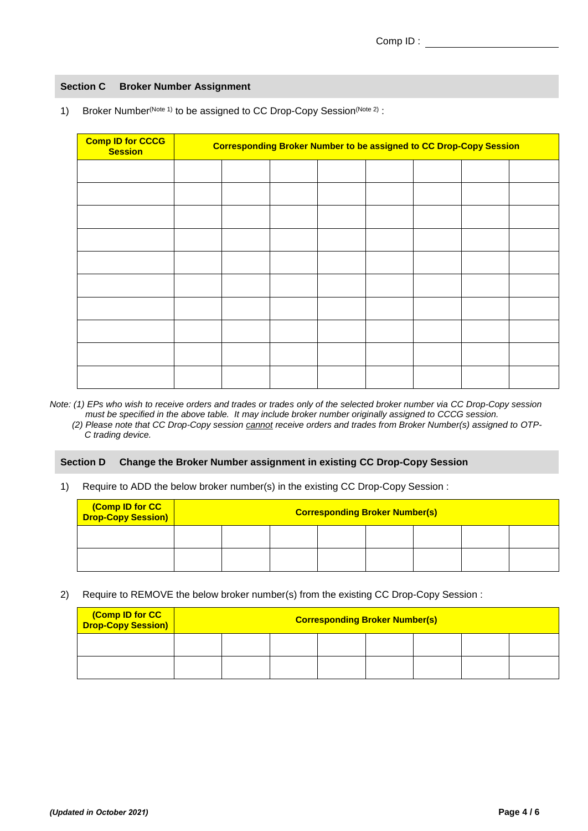## **Section C Broker Number Assignment**

1) Broker Number<sup>(Note 1)</sup> to be assigned to CC Drop-Copy Session<sup>(Note 2)</sup>:

| <b>Comp ID for CCCG</b><br><b>Session</b> | <b>Corresponding Broker Number to be assigned to CC Drop-Copy Session</b> |  |  |  |  |  |  |
|-------------------------------------------|---------------------------------------------------------------------------|--|--|--|--|--|--|
|                                           |                                                                           |  |  |  |  |  |  |
|                                           |                                                                           |  |  |  |  |  |  |
|                                           |                                                                           |  |  |  |  |  |  |
|                                           |                                                                           |  |  |  |  |  |  |
|                                           |                                                                           |  |  |  |  |  |  |
|                                           |                                                                           |  |  |  |  |  |  |
|                                           |                                                                           |  |  |  |  |  |  |
|                                           |                                                                           |  |  |  |  |  |  |
|                                           |                                                                           |  |  |  |  |  |  |
|                                           |                                                                           |  |  |  |  |  |  |

*Note: (1) EPs who wish to receive orders and trades or trades only of the selected broker number via CC Drop-Copy session must be specified in the above table. It may include broker number originally assigned to CCCG session.* 

*(2) Please note that CC Drop-Copy session cannot receive orders and trades from Broker Number(s) assigned to OTP-C trading device.*

## **Section D Change the Broker Number assignment in existing CC Drop-Copy Session**

1) Require to ADD the below broker number(s) in the existing CC Drop-Copy Session :

| <b>Comp ID for CC</b><br>Drop-Copy Session) | <b>Corresponding Broker Number(s)</b> |  |  |  |  |  |  |  |
|---------------------------------------------|---------------------------------------|--|--|--|--|--|--|--|
|                                             |                                       |  |  |  |  |  |  |  |
|                                             |                                       |  |  |  |  |  |  |  |

2) Require to REMOVE the below broker number(s) from the existing CC Drop-Copy Session :

| (Comp ID for CC<br>Drop-Copy Session) | <b>Corresponding Broker Number(s)</b> |  |  |  |  |  |  |  |
|---------------------------------------|---------------------------------------|--|--|--|--|--|--|--|
|                                       |                                       |  |  |  |  |  |  |  |
|                                       |                                       |  |  |  |  |  |  |  |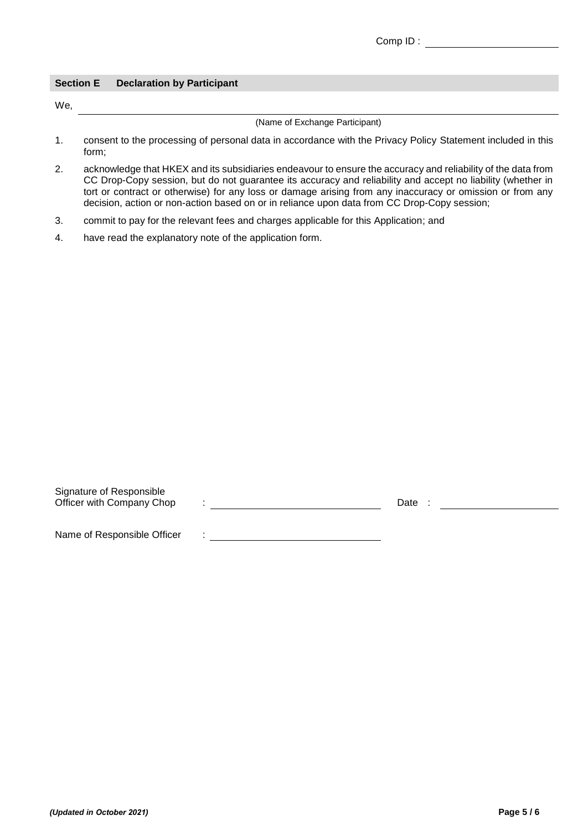| <b>Section E</b> Declaration by Participant |  |
|---------------------------------------------|--|
|                                             |  |

We,

(Name of Exchange Participant)

- 1. consent to the processing of personal data in accordance with the Privacy Policy Statement included in this form;
- 2. acknowledge that HKEX and its subsidiaries endeavour to ensure the accuracy and reliability of the data from CC Drop-Copy session, but do not guarantee its accuracy and reliability and accept no liability (whether in tort or contract or otherwise) for any loss or damage arising from any inaccuracy or omission or from any decision, action or non-action based on or in reliance upon data from CC Drop-Copy session;
- 3. commit to pay for the relevant fees and charges applicable for this Application; and
- 4. have read the explanatory note of the application form.

| Signature of Responsible<br>Officer with Company Chop | Date |  |
|-------------------------------------------------------|------|--|
| Name of Responsible Officer                           |      |  |